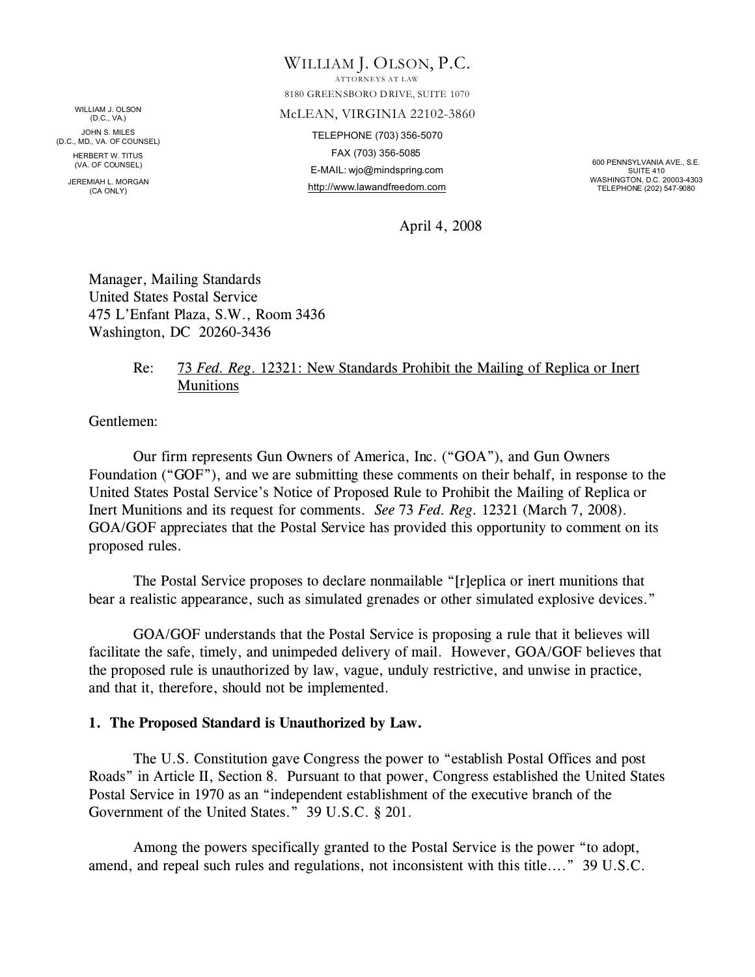WILLIAM J. OLSON (D.C., VA.) JOHN S. MILES (D.C., MD., VA. OF COUNSEL) HERBERT W. TITUS (VA. OF COUNSEL)

> JEREMIAH L. MORGAN (CA ONLY)

WILLIAM J. OLSON, P.C.

ATTORNEYS AT LAW 8180 GREENSBORO DRIVE, SUITE 1070

#### McLEAN, VIRGINIA 22102-3860

TELEPHONE (703) 356-5070 FAX (703) 356-5085 E-MAIL: wjo@mindspring.com http://www.lawandfreedom.com

600 PENNSYLVANIA AVE., S.E. SUITE 410 WASHINGTON, D.C. 20003-4303 TELEPHONE (202) 547-9080

April 4, 2008

Manager, Mailing Standards United States Postal Service 475 L'Enfant Plaza, S.W., Room 3436 Washington, DC 20260-3436

### Re: 73 *Fed. Reg*. 12321: New Standards Prohibit the Mailing of Replica or Inert Munitions

Gentlemen:

Our firm represents Gun Owners of America, Inc. ("GOA"), and Gun Owners Foundation ("GOF"), and we are submitting these comments on their behalf, in response to the United States Postal Service's Notice of Proposed Rule to Prohibit the Mailing of Replica or Inert Munitions and its request for comments. *See* 73 *Fed. Reg.* 12321 (March 7, 2008). GOA/GOF appreciates that the Postal Service has provided this opportunity to comment on its proposed rules.

The Postal Service proposes to declare nonmailable "[r]eplica or inert munitions that bear a realistic appearance, such as simulated grenades or other simulated explosive devices."

GOA/GOF understands that the Postal Service is proposing a rule that it believes will facilitate the safe, timely, and unimpeded delivery of mail. However, GOA/GOF believes that the proposed rule is unauthorized by law, vague, unduly restrictive, and unwise in practice, and that it, therefore, should not be implemented.

### **1. The Proposed Standard is Unauthorized by Law.**

The U.S. Constitution gave Congress the power to "establish Postal Offices and post Roads" in Article II, Section 8. Pursuant to that power, Congress established the United States Postal Service in 1970 as an "independent establishment of the executive branch of the Government of the United States." 39 U.S.C. § 201.

Among the powers specifically granted to the Postal Service is the power "to adopt, amend, and repeal such rules and regulations, not inconsistent with this title...." 39 U.S.C.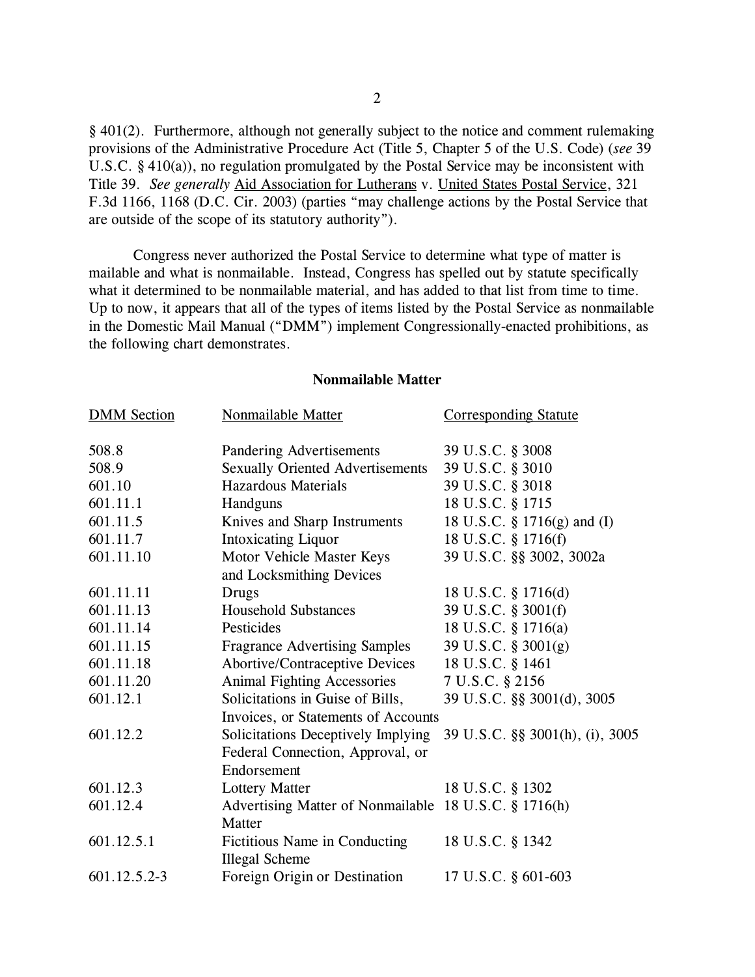§ 401(2). Furthermore, although not generally subject to the notice and comment rulemaking provisions of the Administrative Procedure Act (Title 5, Chapter 5 of the U.S. Code) (*see* 39 U.S.C. § 410(a)), no regulation promulgated by the Postal Service may be inconsistent with Title 39. *See generally* Aid Association for Lutherans v. United States Postal Service, 321 F.3d 1166, 1168 (D.C. Cir. 2003) (parties "may challenge actions by the Postal Service that are outside of the scope of its statutory authority").

Congress never authorized the Postal Service to determine what type of matter is mailable and what is nonmailable. Instead, Congress has spelled out by statute specifically what it determined to be nonmailable material, and has added to that list from time to time. Up to now, it appears that all of the types of items listed by the Postal Service as nonmailable in the Domestic Mail Manual ("DMM") implement Congressionally-enacted prohibitions, as the following chart demonstrates.

# **DMM Section** Nonmailable Matter Corresponding Statute 508.8 Pandering Advertisements 39 U.S.C. § 3008 508.9 Sexually Oriented Advertisements 39 U.S.C. § 3010 601.10 Hazardous Materials 39 U.S.C. § 3018 601.11.1 Handguns 18 U.S.C. § 1715 601.11.5 Knives and Sharp Instruments 18 U.S.C. § 1716(g) and (I) 601.11.7 Intoxicating Liquor 18 U.S.C. § 1716(f) 601.11.10 Motor Vehicle Master Keys 39 U.S.C. §§ 3002, 3002a and Locksmithing Devices 601.11.11 Drugs 18 U.S.C. § 1716(d) 601.11.13 Household Substances 39 U.S.C. § 3001(f) 601.11.14 Pesticides 18 U.S.C. § 1716(a) 601.11.15 Fragrance Advertising Samples 39 U.S.C. § 3001(g) 601.11.18 Abortive/Contraceptive Devices 18 U.S.C. § 1461 601.11.20 Animal Fighting Accessories 7 U.S.C. § 2156 601.12.1 Solicitations in Guise of Bills, 39 U.S.C. §§ 3001(d), 3005 Invoices, or Statements of Accounts 601.12.2 Solicitations Deceptively Implying 39 U.S.C. §§ 3001(h), (i), 3005 Federal Connection, Approval, or Endorsement 601.12.3 Lottery Matter 18 U.S.C. § 1302 601.12.4 Advertising Matter of Nonmailable 18 U.S.C. § 1716(h) **Matter** 601.12.5.1 Fictitious Name in Conducting 18 U.S.C. § 1342 Illegal Scheme 601.12.5.2-3 Foreign Origin or Destination 17 U.S.C. § 601-603

#### **Nonmailable Matter**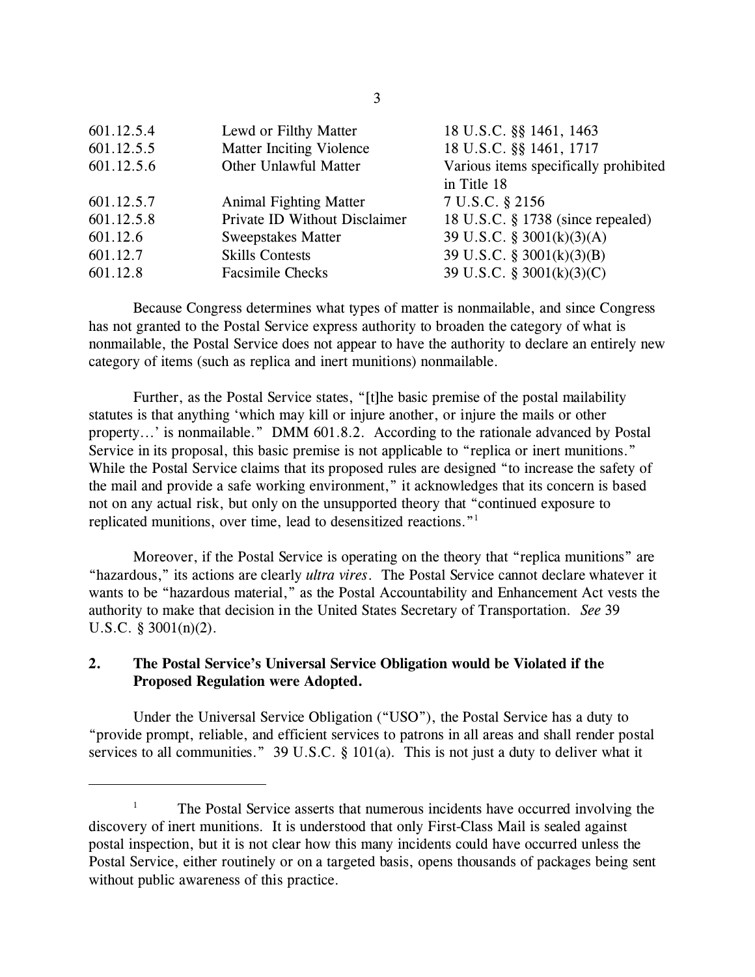| Lewd or Filthy Matter           | 18 U.S.C. §§ 1461, 1463               |
|---------------------------------|---------------------------------------|
| <b>Matter Inciting Violence</b> | 18 U.S.C. §§ 1461, 1717               |
| Other Unlawful Matter           | Various items specifically prohibited |
|                                 | in Title 18                           |
| <b>Animal Fighting Matter</b>   | 7 U.S.C. § 2156                       |
| Private ID Without Disclaimer   | 18 U.S.C. § 1738 (since repealed)     |
| <b>Sweepstakes Matter</b>       | 39 U.S.C. § 3001(k)(3)(A)             |
| <b>Skills Contests</b>          | 39 U.S.C. § 3001(k)(3)(B)             |
| <b>Facsimile Checks</b>         | 39 U.S.C. § 3001(k)(3)(C)             |
|                                 |                                       |

Because Congress determines what types of matter is nonmailable, and since Congress has not granted to the Postal Service express authority to broaden the category of what is nonmailable, the Postal Service does not appear to have the authority to declare an entirely new category of items (such as replica and inert munitions) nonmailable.

Further, as the Postal Service states, "[t]he basic premise of the postal mailability statutes is that anything 'which may kill or injure another, or injure the mails or other property...' is nonmailable." DMM 601.8.2. According to the rationale advanced by Postal Service in its proposal, this basic premise is not applicable to "replica or inert munitions." While the Postal Service claims that its proposed rules are designed "to increase the safety of the mail and provide a safe working environment," it acknowledges that its concern is based not on any actual risk, but only on the unsupported theory that "continued exposure to replicated munitions, over time, lead to desensitized reactions."<sup>1</sup>

Moreover, if the Postal Service is operating on the theory that "replica munitions" are "hazardous," its actions are clearly *ultra vires*. The Postal Service cannot declare whatever it wants to be "hazardous material," as the Postal Accountability and Enhancement Act vests the authority to make that decision in the United States Secretary of Transportation. *See* 39 U.S.C. § 3001(n)(2).

### **2. The Postal Service's Universal Service Obligation would be Violated if the Proposed Regulation were Adopted.**

Under the Universal Service Obligation ("USO"), the Postal Service has a duty to "provide prompt, reliable, and efficient services to patrons in all areas and shall render postal services to all communities." 39 U.S.C. § 101(a). This is not just a duty to deliver what it

<sup>&</sup>lt;sup>1</sup> The Postal Service asserts that numerous incidents have occurred involving the discovery of inert munitions. It is understood that only First-Class Mail is sealed against postal inspection, but it is not clear how this many incidents could have occurred unless the Postal Service, either routinely or on a targeted basis, opens thousands of packages being sent without public awareness of this practice.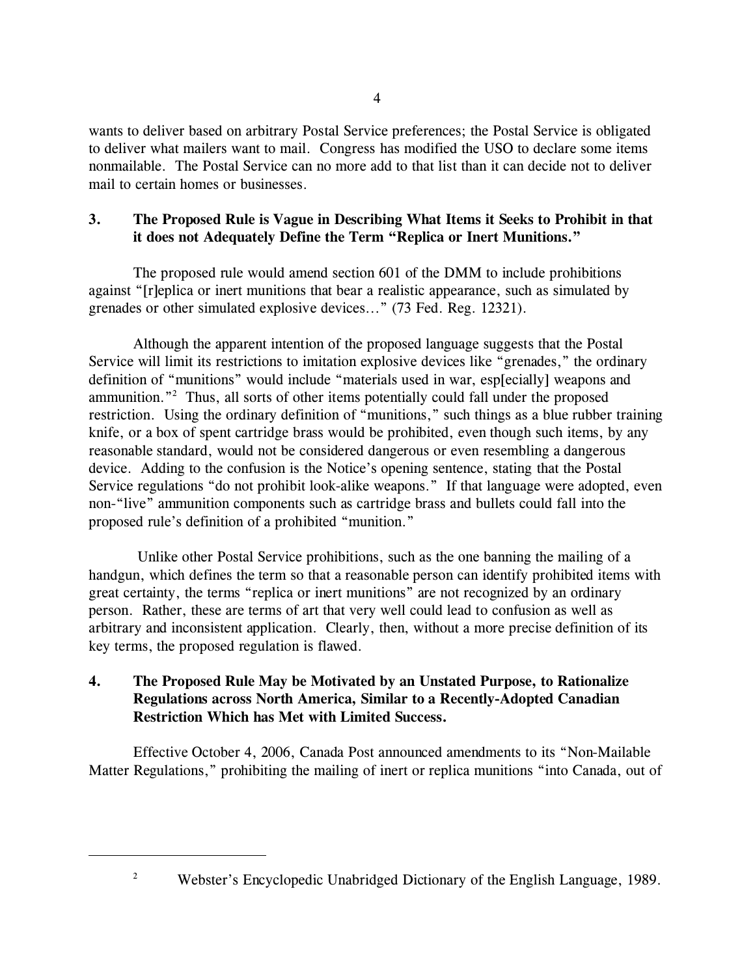wants to deliver based on arbitrary Postal Service preferences; the Postal Service is obligated to deliver what mailers want to mail. Congress has modified the USO to declare some items nonmailable. The Postal Service can no more add to that list than it can decide not to deliver mail to certain homes or businesses.

### **3. The Proposed Rule is Vague in Describing What Items it Seeks to Prohibit in that it does not Adequately Define the Term "Replica or Inert Munitions."**

The proposed rule would amend section 601 of the DMM to include prohibitions against "[r]eplica or inert munitions that bear a realistic appearance, such as simulated by grenades or other simulated explosive devices..." (73 Fed. Reg. 12321).

Although the apparent intention of the proposed language suggests that the Postal Service will limit its restrictions to imitation explosive devices like "grenades," the ordinary definition of "munitions" would include "materials used in war, esp[ecially] weapons and ammunition."<sup>2</sup> Thus, all sorts of other items potentially could fall under the proposed restriction. Using the ordinary definition of "munitions," such things as a blue rubber training knife, or a box of spent cartridge brass would be prohibited, even though such items, by any reasonable standard, would not be considered dangerous or even resembling a dangerous device. Adding to the confusion is the Notice's opening sentence, stating that the Postal Service regulations "do not prohibit look-alike weapons." If that language were adopted, even non-"live" ammunition components such as cartridge brass and bullets could fall into the proposed rule's definition of a prohibited "munition."

 Unlike other Postal Service prohibitions, such as the one banning the mailing of a handgun, which defines the term so that a reasonable person can identify prohibited items with great certainty, the terms "replica or inert munitions" are not recognized by an ordinary person. Rather, these are terms of art that very well could lead to confusion as well as arbitrary and inconsistent application. Clearly, then, without a more precise definition of its key terms, the proposed regulation is flawed.

## **4. The Proposed Rule May be Motivated by an Unstated Purpose, to Rationalize Regulations across North America, Similar to a Recently-Adopted Canadian Restriction Which has Met with Limited Success.**

Effective October 4, 2006, Canada Post announced amendments to its "Non-Mailable Matter Regulations," prohibiting the mailing of inert or replica munitions "into Canada, out of

<sup>&</sup>lt;sup>2</sup> Webster's Encyclopedic Unabridged Dictionary of the English Language, 1989.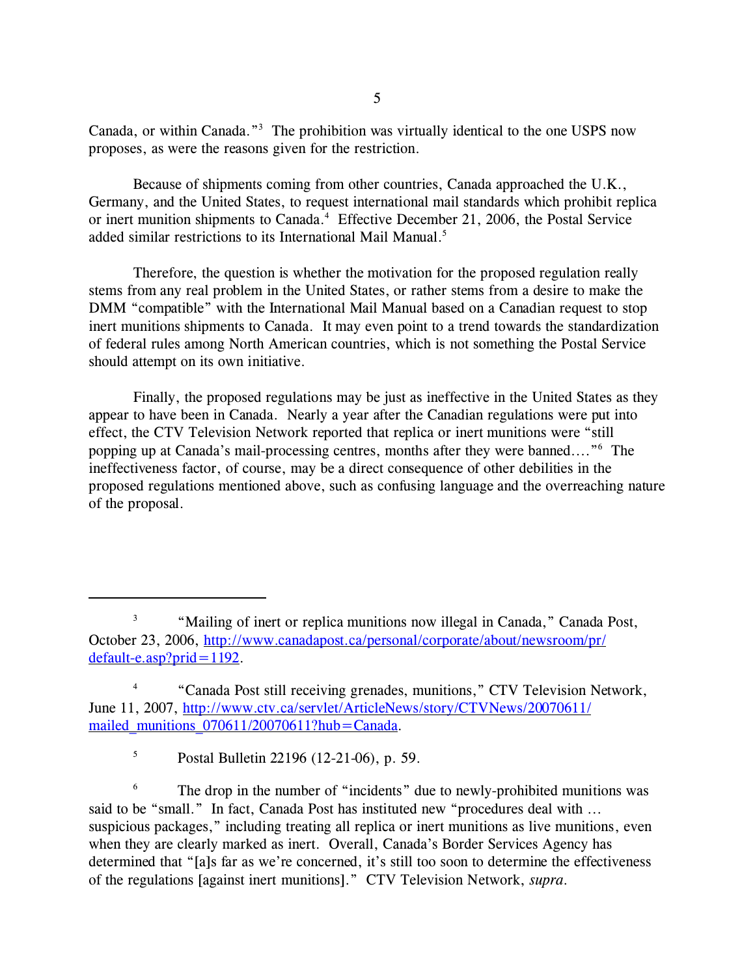Canada, or within Canada."<sup>3</sup> The prohibition was virtually identical to the one USPS now proposes, as were the reasons given for the restriction.

Because of shipments coming from other countries, Canada approached the U.K., Germany, and the United States, to request international mail standards which prohibit replica or inert munition shipments to Canada.<sup>4</sup> Effective December 21, 2006, the Postal Service added similar restrictions to its International Mail Manual.<sup>5</sup>

Therefore, the question is whether the motivation for the proposed regulation really stems from any real problem in the United States, or rather stems from a desire to make the DMM "compatible" with the International Mail Manual based on a Canadian request to stop inert munitions shipments to Canada. It may even point to a trend towards the standardization of federal rules among North American countries, which is not something the Postal Service should attempt on its own initiative.

Finally, the proposed regulations may be just as ineffective in the United States as they appear to have been in Canada. Nearly a year after the Canadian regulations were put into effect, the CTV Television Network reported that replica or inert munitions were "still popping up at Canada's mail-processing centres, months after they were banned...."<sup>6</sup> The ineffectiveness factor, of course, may be a direct consequence of other debilities in the proposed regulations mentioned above, such as confusing language and the overreaching nature of the proposal.

<sup>5</sup> Postal Bulletin 22196 (12-21-06), p. 59.

<sup>6</sup> The drop in the number of "incidents" due to newly-prohibited munitions was said to be "small." In fact, Canada Post has instituted new "procedures deal with ... suspicious packages," including treating all replica or inert munitions as live munitions, even when they are clearly marked as inert. Overall, Canada's Border Services Agency has determined that "[a]s far as we're concerned, it's still too soon to determine the effectiveness of the regulations [against inert munitions]." CTV Television Network, *supra*.

<sup>3</sup> "Mailing of inert or replica munitions now illegal in Canada," Canada Post, October 23, 2006, [http://www.canadapost.ca/personal/corporate/about/newsroom/pr/](http://www.canadapost.ca/personal/corporate/about/newsroom/pr/default-e.asp?prid=1192) [default-e.asp?prid=1192](http://www.canadapost.ca/personal/corporate/about/newsroom/pr/default-e.asp?prid=1192).

<sup>4</sup> "Canada Post still receiving grenades, munitions," CTV Television Network, June 11, 2007, [http://www.ctv.ca/servlet/ArticleNews/story/CTVNews/20070611/](http://www.ctv.ca/servlet/ArticleNews/story/CTVNews/20070611/mailed_munitions_070611/20070611?hub=Canada) mailed munitions  $070611/20070611?hub = Canada.$